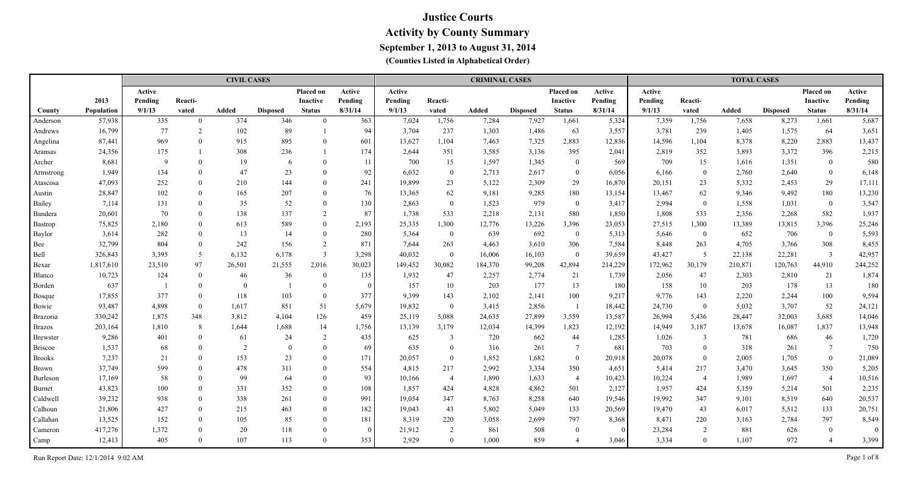|                 |                   |         |                | <b>CIVIL CASES</b> |                 |                 |          |         |                  | <b>CRIMINAL CASES</b> |                 |                 |          |         |                | <b>TOTAL CASES</b> |                 |                 |          |
|-----------------|-------------------|---------|----------------|--------------------|-----------------|-----------------|----------|---------|------------------|-----------------------|-----------------|-----------------|----------|---------|----------------|--------------------|-----------------|-----------------|----------|
|                 |                   | Active  |                |                    |                 | Placed on       | Active   | Active  |                  |                       |                 | Placed on       | Active   | Active  |                |                    |                 | Placed on       | Active   |
|                 | 2013              | Pending | Reacti-        |                    |                 | <b>Inactive</b> | Pending  | Pending | Reacti-          |                       |                 | <b>Inactive</b> | Pending  | Pending | Reacti-        |                    |                 | <b>Inactive</b> | Pending  |
| County          | <b>Population</b> | 9/1/13  | vated          | <b>Added</b>       | <b>Disposed</b> | <b>Status</b>   | 8/31/14  | 9/1/13  | vated            | Added                 | <b>Disposed</b> | <b>Status</b>   | 8/31/14  | 9/1/13  | vated          | Added              | <b>Disposed</b> | <b>Status</b>   | 8/31/14  |
| Anderson        | 57,938            | 335     | $\mathbf{0}$   | 374                | 346             | $\theta$        | 363      | 7,024   | 1,756            | 7,284                 | 7,927           | 1,661           | 5,324    | 7,359   | 1,756          | 7,658              | 8,273           | 1,661           | 5,687    |
| Andrews         | 16,799            | 77      | 2              | 102                | 89              |                 | 94       | 3,704   | 237              | 1,303                 | 1,486           | 63              | 3,557    | 3,781   | 239            | 1,405              | 1,575           | 64              | 3,651    |
| Angelina        | 87,441            | 969     | $\theta$       | 915                | 895             | $\Omega$        | 601      | 13,627  | 1,104            | 7,463                 | 7,325           | 2,883           | 12,836   | 14,596  | 1,104          | 8,378              | 8,220           | 2,883           | 13,437   |
| Aransas         | 24,356            | 175     |                | 308                | 236             |                 | 174      | 2,644   | 351              | 3,585                 | 3,136           | 395             | 2,041    | 2,819   | 352            | 3,893              | 3,372           | 396             | 2,215    |
| Archer          | 8,681             | 9       | $\theta$       | 19                 | 6               | $\theta$        | -11      | 700     | 15               | 1,597                 | 1,345           | $\mathbf{0}$    | 569      | 709     | 15             | 1,616              | 1,351           | $\bf{0}$        | 580      |
| Armstrong       | 1,949             | 134     | $\theta$       | 47                 | 23              | $\Omega$        | 92       | 6,032   | $\overline{0}$   | 2,713                 | 2,617           | $\overline{0}$  | 6,056    | 6,166   | $\bf{0}$       | 2,760              | 2,640           | $\bf{0}$        | 6,148    |
| Atascosa        | 47,093            | 252     | $\theta$       | 210                | 144             | $\theta$        | 241      | 19,899  | 23               | 5,122                 | 2,309           | 29              | 16,870   | 20,151  | 23             | 5,332              | 2,453           | 29              | 17,111   |
| Austin          | 28,847            | 102     | $\theta$       | 165                | 207             | $\theta$        | 76       | 13,365  | 62               | 9,181                 | 9,285           | 180             | 13,154   | 13,467  | 62             | 9,346              | 9,492           | 180             | 13,230   |
| Bailey          | 7,114             | 131     | $\theta$       | 35                 | 52              | $\Omega$        | 130      | 2,863   | $\boldsymbol{0}$ | 1,523                 | 979             | $\overline{0}$  | 3,417    | 2,994   | $\overline{0}$ | 1,558              | 1,031           | $\bf{0}$        | 3,547    |
| Bandera         | 20,601            | 70      | $\theta$       | 138                | 137             | 2               | 87       | 1,738   | 533              | 2,218                 | 2,131           | 580             | 1,850    | 1,808   | 533            | 2,356              | 2,268           | 582             | 1,937    |
| Bastrop         | 75,825            | 2,180   | $\Omega$       | 613                | 589             | $\Omega$        | 2,193    | 25,335  | 1,300            | 12,776                | 13,226          | 3,396           | 23,053   | 27,515  | 1,300          | 13,389             | 13,815          | 3,396           | 25,246   |
| Baylor          | 3,614             | 282     | $\Omega$       | 13                 | 14              | $\theta$        | 280      | 5,364   | $\overline{0}$   | 639                   | 692             | $\overline{0}$  | 5,313    | 5,646   | $\bf{0}$       | 652                | 706             | $\bf{0}$        | 5,593    |
| Bee             | 32,799            | 804     | $\theta$       | 242                | 156             | $\overline{2}$  | 871      | 7,644   | 263              | 4,463                 | 3,610           | 306             | 7,584    | 8,448   | 263            | 4,705              | 3,766           | 308             | 8,455    |
| Bell            | 326,843           | 3,395   | 5              | 6,132              | 6,178           | $\overline{3}$  | 3,298    | 40,032  | $\theta$         | 16,006                | 16,103          | $\theta$        | 39,659   | 43,427  | $5^{\circ}$    | 22,138             | 22,281          | $\overline{3}$  | 42,957   |
| Bexar           | 1,817,610         | 23,510  | 97             | 26,501             | 21,555          | 2,016           | 30,023   | 149,452 | 30,082           | 184,370               | 99,208          | 42,894          | 214,229  | 172,962 | 30,179         | 210,871            | 120,763         | 44,910          | 244,252  |
| Blanco          | 10,723            | 124     | $\overline{0}$ | 46                 | 36              | $\Omega$        | 135      | 1,932   | 47               | 2,257                 | 2,774           | 21              | 1,739    | 2,056   | 47             | 2,303              | 2,810           | 21              | 1,874    |
| Borden          | 637               |         | $\Omega$       | $\Omega$           |                 | $\Omega$        | $\Omega$ | 157     | 10               | 203                   | 177             | 13              | 180      | 158     | 10             | 203                | 178             | 13              | 180      |
| <b>Bosque</b>   | 17,855            | 377     | $\theta$       | 118                | 103             | $\overline{0}$  | 377      | 9,399   | 143              | 2,102                 | 2,141           | 100             | 9,217    | 9,776   | 143            | 2,220              | 2,244           | 100             | 9,594    |
| Bowie           | 93,487            | 4,898   | $\overline{0}$ | 1,617              | 851             | 51              | 5,679    | 19,832  | $\overline{0}$   | 3,415                 | 2,856           | $\overline{1}$  | 18,442   | 24,730  | $\bf{0}$       | 5,032              | 3,707           | 52              | 24,121   |
| <b>Brazoria</b> | 330,242           | 1,875   | 348            | 3,812              | 4,104           | 126             | 459      | 25,119  | 5,088            | 24,635                | 27,899          | 3,559           | 13,587   | 26,994  | 5,436          | 28,447             | 32,003          | 3,685           | 14,046   |
| <b>Brazos</b>   | 203,164           | 1,810   | 8              | 1,644              | 1,688           | 14              | 1,756    | 13,139  | 3,179            | 12,034                | 14,399          | 1,823           | 12,192   | 14,949  | 3,187          | 13,678             | 16,087          | 1,837           | 13,948   |
| <b>Brewster</b> | 9,286             | 401     | $\theta$       | 61                 | 24              | 2               | 435      | 625     | 3                | 720                   | 662             | 44              | 1,285    | 1,026   | $\overline{3}$ | 781                | 686             | 46              | 1,720    |
| <b>Briscoe</b>  | 1,537             | 68      | $\theta$       | 2                  | $\overline{0}$  | $\theta$        | 69       | 635     | $\theta$         | 316                   | 261             | $7\phantom{.0}$ | 681      | 703     | $\mathbf{0}$   | 318                | 261             | $7\phantom{.0}$ | 750      |
| <b>Brooks</b>   | 7,237             | 21      | $\theta$       | 153                | 23              | $\Omega$        | 171      | 20,057  | $\overline{0}$   | 1,852                 | 1,682           | $\overline{0}$  | 20,918   | 20,078  | $\mathbf{0}$   | 2,005              | 1,705           | $\mathbf{0}$    | 21,089   |
| <b>Brown</b>    | 37,749            | 599     | $\theta$       | 478                | 311             | $\overline{0}$  | 554      | 4,815   | 217              | 2,992                 | 3,334           | 350             | 4,651    | 5,414   | 217            | 3,470              | 3,645           | 350             | 5,205    |
| Burleson        | 17,169            | 58      | $\Omega$       | 99                 | 64              | $\Omega$        | 93       | 10,166  | $\overline{4}$   | 1,890                 | 1,633           | $\overline{4}$  | 10,423   | 10,224  | $\overline{4}$ | 1,989              | 1,697           | $\overline{4}$  | 10,516   |
| Burnet          | 43,823            | 100     | $\theta$       | 331                | 352             | $\theta$        | 108      | 1,857   | 424              | 4,828                 | 4,862           | 501             | 2,127    | 1,957   | 424            | 5,159              | 5,214           | 501             | 2,235    |
| Caldwell        | 39,232            | 938     | $\theta$       | 338                | 261             | $\theta$        | 991      | 19,054  | 347              | 8,763                 | 8,258           | 640             | 19,546   | 19,992  | 347            | 9,101              | 8,519           | 640             | 20,537   |
| Calhoun         | 21,806            | 427     | $\theta$       | 215                | 463             | $\Omega$        | 182      | 19,043  | 43               | 5,802                 | 5,049           | 133             | 20,569   | 19,470  | 43             | 6,017              | 5,512           | 133             | 20,751   |
| Callahan        | 13,525            | 152     | $\theta$       | 105                | 85              | $\Omega$        | 181      | 8,319   | 220              | 3,058                 | 2,699           | 797             | 8,368    | 8,471   | 220            | 3,163              | 2,784           | 797             | 8,549    |
| Cameron         | 417,276           | 1,372   | $\theta$       | 20                 | 118             | $\Omega$        | $\Omega$ | 21,912  | $\overline{2}$   | 861                   | 508             | $\mathbf{0}$    | $\Omega$ | 23,284  | $\overline{2}$ | 881                | 626             | $\bf{0}$        | $\theta$ |
| Camp            | 12,413            | 405     | $\Omega$       | 107                | 113             | $\Omega$        | 353      | 2,929   | $\Omega$         | 1,000                 | 859             | $\overline{4}$  | 3.046    | 3,334   | $\theta$       | 1.107              | 972             | $\overline{4}$  | 3,399    |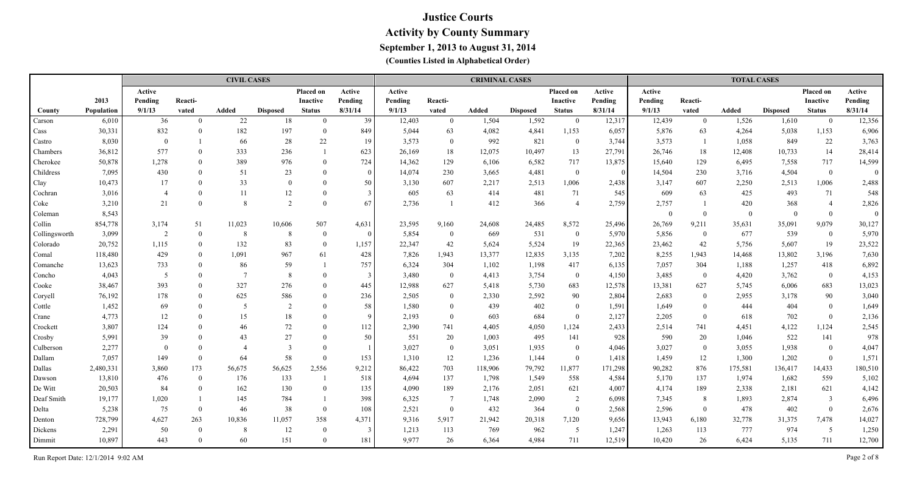|               |                   |                |                | <b>CIVIL CASES</b> |                 |                 |          |         |                | <b>CRIMINAL CASES</b> |                 |                 |                |          |                | <b>TOTAL CASES</b> |                 |                 |          |
|---------------|-------------------|----------------|----------------|--------------------|-----------------|-----------------|----------|---------|----------------|-----------------------|-----------------|-----------------|----------------|----------|----------------|--------------------|-----------------|-----------------|----------|
|               |                   | Active         |                |                    |                 | Placed on       | Active   | Active  |                |                       |                 | Placed on       | Active         | Active   |                |                    |                 | Placed on       | Active   |
|               | 2013              | Pending        | Reacti-        |                    |                 | <b>Inactive</b> | Pending  | Pending | Reacti-        |                       |                 | <b>Inactive</b> | Pending        | Pending  | Reacti-        |                    |                 | <b>Inactive</b> | Pending  |
| County        | <b>Population</b> | 9/1/13         | vated          | Added              | <b>Disposed</b> | <b>Status</b>   | 8/31/14  | 9/1/13  | vated          | Added                 | <b>Disposed</b> | <b>Status</b>   | 8/31/14        | 9/1/13   | vated          | Added              | <b>Disposed</b> | <b>Status</b>   | 8/31/14  |
| Carson        | 6,010             | 36             | $\overline{0}$ | 22                 | 18              | $\overline{0}$  | 39       | 12,403  | $\mathbf{0}$   | 1,504                 | 1,592           | $\bf{0}$        | 12,317         | 12,439   | $\bf{0}$       | 1,526              | 1,610           | $\overline{0}$  | 12,356   |
| Cass          | 30,331            | 832            | $\theta$       | 182                | 197             | $\theta$        | 849      | 5,044   | 63             | 4,082                 | 4,841           | 1,153           | 6,057          | 5,876    | 63             | 4,264              | 5,038           | 1,153           | 6,906    |
| Castro        | 8,030             | $\overline{0}$ |                | 66                 | 28              | 22              | 19       | 3,573   | $\overline{0}$ | 992                   | 821             | $\mathbf{0}$    | 3,744          | 3,573    |                | 1,058              | 849             | 22              | 3,763    |
| Chambers      | 36,812            | 577            | $\mathbf{0}$   | 333                | 236             |                 | 623      | 26,169  | 18             | 12,075                | 10,497          | 13              | 27,791         | 26,746   | 18             | 12,408             | 10,733          | 14              | 28,414   |
| Cherokee      | 50,878            | 1,278          | $\theta$       | 389                | 976             | $\theta$        | 724      | 14,362  | 129            | 6,106                 | 6,582           | 717             | 13,875         | 15,640   | 129            | 6,495              | 7,558           | 717             | 14,599   |
| Childress     | 7,095             | 430            | $\theta$       | 51                 | 23              | $\overline{0}$  | $\Omega$ | 14,074  | 230            | 3,665                 | 4,481           | $\mathbf{0}$    | $\overline{0}$ | 14,504   | 230            | 3,716              | 4,504           | $\bf{0}$        | $\theta$ |
| Clay          | 10,473            | 17             | $\Omega$       | 33                 | $\Omega$        | $\Omega$        | 50       | 3,130   | 607            | 2,217                 | 2,513           | 1,006           | 2,438          | 3,147    | 607            | 2,250              | 2,513           | 1,006           | 2,488    |
| Cochran       | 3,016             | $\overline{4}$ | $\Omega$       | 11                 | 12              | $\overline{0}$  |          | 605     | 63             | 414                   | 481             | 71              | 545            | 609      | 63             | 425                | 493             | 71              | 548      |
| Coke          | 3,210             | 21             | $\Omega$       | $\mathbf{8}$       | 2               | $\Omega$        | 67       | 2,736   |                | 412                   | 366             | $\overline{4}$  | 2,759          | 2,757    |                | 420                | 368             | $\overline{4}$  | 2,826    |
| Coleman       | 8,543             |                |                |                    |                 |                 |          |         |                |                       |                 |                 |                | $\Omega$ | $\theta$       | $\bf{0}$           | $\Omega$        | $\mathbf{0}$    | $\Omega$ |
| Collin        | 854,778           | 3,174          | 51             | 11,023             | 10,606          | 507             | 4,631    | 23,595  | 9,160          | 24,608                | 24,485          | 8,572           | 25,496         | 26,769   | 9,211          | 35,631             | 35,091          | 9,079           | 30,127   |
| Collingsworth | 3,099             | $\overline{2}$ | $\mathbf{0}$   | 8                  | -8              | $\overline{0}$  | $\Omega$ | 5,854   | $\bf{0}$       | 669                   | 531             | $\overline{0}$  | 5,970          | 5,856    | $\bf{0}$       | 677                | 539             | $\overline{0}$  | 5,970    |
| Colorado      | 20,752            | 1,115          | $\theta$       | 132                | 83              | $\theta$        | 1,157    | 22,347  | 42             | 5,624                 | 5,524           | 19              | 22,365         | 23,462   | 42             | 5,756              | 5,607           | 19              | 23,522   |
| Comal         | 118,480           | 429            | $\Omega$       | 1,091              | 967             | 61              | 428      | 7,826   | 1,943          | 13,377                | 12,835          | 3,135           | 7,202          | 8,255    | 1,943          | 14,468             | 13,802          | 3,196           | 7,630    |
| Comanche      | 13,623            | 733            | $\Omega$       | 86                 | 59              |                 | 757      | 6,324   | 304            | 1,102                 | 1,198           | 417             | 6,135          | 7,057    | 304            | 1,188              | 1,257           | 418             | 6,892    |
| Concho        | 4,043             | 5              | $\Omega$       | $\overline{7}$     | 8               | $\Omega$        |          | 3,480   | $\overline{0}$ | 4,413                 | 3,754           | $\overline{0}$  | 4,150          | 3,485    | $\overline{0}$ | 4,420              | 3,762           | $\overline{0}$  | 4,153    |
| Cooke         | 38,467            | 393            | $\Omega$       | 327                | 276             | $\Omega$        | 445      | 12,988  | 627            | 5,418                 | 5,730           | 683             | 12,578         | 13,381   | 627            | 5,745              | 6,006           | 683             | 13,023   |
| Coryell       | 76,192            | 178            | $\Omega$       | 625                | 586             | $\Omega$        | 236      | 2,505   | $\overline{0}$ | 2,330                 | 2,592           | 90              | 2,804          | 2,683    | $\theta$       | 2,955              | 3,178           | 90              | 3,040    |
| Cottle        | 1,452             | 69             | $\Omega$       | 5                  | $\overline{2}$  | $\Omega$        | 58       | 1,580   | $\Omega$       | 439                   | 402             | $\overline{0}$  | 1,591          | 1,649    | $\Omega$       | 444                | 404             | $\mathbf{0}$    | 1,649    |
| Crane         | 4,773             | 12             | $\Omega$       | 15                 | 18              | $\Omega$        | $\Omega$ | 2,193   | $\overline{0}$ | 603                   | 684             | $\theta$        | 2,127          | 2,205    | $\theta$       | 618                | 702             | $\overline{0}$  | 2,136    |
| Crockett      | 3,807             | 124            | $\Omega$       | 46                 | 72              | $\Omega$        | 112      | 2,390   | 741            | 4,405                 | 4,050           | 1,124           | 2,433          | 2,514    | 741            | 4,451              | 4,122           | 1,124           | 2,545    |
| Crosby        | 5,991             | 39             | $\Omega$       | 43                 | 27              | $\Omega$        | 50       | 551     | 20             | 1,003                 | 495             | 141             | 928            | 590      | 20             | 1,046              | 522             | 141             | 978      |
| Culberson     | 2,277             | $\theta$       | $\Omega$       | $\overline{4}$     | $\mathcal{R}$   | $\Omega$        |          | 3,027   | $\overline{0}$ | 3,051                 | 1,935           | $\overline{0}$  | 4,046          | 3,027    | $\overline{0}$ | 3,055              | 1,938           | $\overline{0}$  | 4,047    |
| Dallam        | 7,057             | 149            | $\overline{0}$ | 64                 | 58              | $\Omega$        | 153      | 1,310   | 12             | 1,236                 | 1,144           | $\theta$        | 1,418          | 1,459    | 12             | 1,300              | 1,202           | $\overline{0}$  | 1,571    |
| Dallas        | 2,480,331         | 3,860          | 173            | 56,675             | 56,625          | 2,556           | 9,212    | 86,422  | 703            | 118,906               | 79,792          | 11,877          | 171,298        | 90,282   | 876            | 175,581            | 136,417         | 14,433          | 180,510  |
| Dawson        | 13,810            | 476            | $\theta$       | 176                | 133             |                 | 518      | 4,694   | 137            | 1,798                 | 1,549           | 558             | 4,584          | 5,170    | 137            | 1,974              | 1,682           | 559             | 5,102    |
| De Witt       | 20,503            | 84             | $\theta$       | 162                | 130             | $\theta$        | 135      | 4,090   | 189            | 2,176                 | 2,051           | 621             | 4,007          | 4,174    | 189            | 2,338              | 2,181           | 621             | 4,142    |
| Deaf Smith    | 19,177            | 1,020          |                | 145                | 784             |                 | 398      | 6,325   | $\tau$         | 1,748                 | 2,090           | 2               | 6,098          | 7,345    | 8              | 1,893              | 2,874           | $\mathfrak{Z}$  | 6,496    |
| Delta         | 5,238             | 75             | $\overline{0}$ | 46                 | 38              | $\Omega$        | 108      | 2,521   | $\overline{0}$ | 432                   | 364             | $\overline{0}$  | 2,568          | 2,596    | $\overline{0}$ | 478                | 402             | $\overline{0}$  | 2,676    |
| Denton        | 728,799           | 4,627          | 263            | 10,836             | 11,057          | 358             | 4,371    | 9,316   | 5,917          | 21,942                | 20,318          | 7,120           | 9,656          | 13,943   | 6,180          | 32,778             | 31,375          | 7,478           | 14,027   |
| Dickens       | 2,291             | 50             | $\Omega$       | 8                  | 12              | $\theta$        |          | 1,213   | 113            | 769                   | 962             | 5               | 1,247          | 1,263    | 113            | 777                | 974             | 5               | 1,250    |
| Dimmit        | 10,897            | 443            | $\Omega$       | 60                 | 151             | $\Omega$        | 181      | 9,977   | 26             | 6,364                 | 4,984           | 711             | 12,519         | 10,420   | 26             | 6,424              | 5,135           | 711             | 12,700   |

Run Report Date: 12/1/2014 9:02 AM Page 2 of 8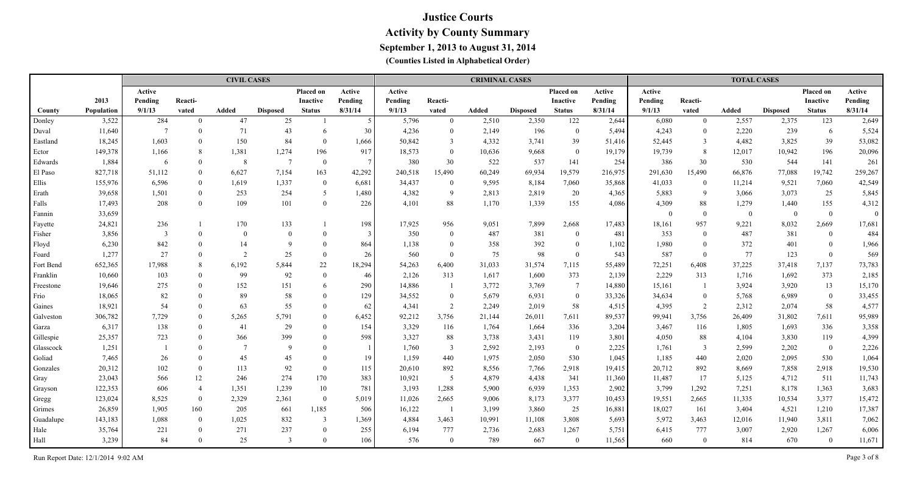|           |            |                |                | <b>CIVIL CASES</b> |                 |                  |                 |         |                | <b>CRIMINAL CASES</b> |                 |                 |         |          |                | <b>TOTAL CASES</b> |                 |                 |          |
|-----------|------------|----------------|----------------|--------------------|-----------------|------------------|-----------------|---------|----------------|-----------------------|-----------------|-----------------|---------|----------|----------------|--------------------|-----------------|-----------------|----------|
|           |            | Active         |                |                    |                 | <b>Placed on</b> | Active          | Active  |                |                       |                 | Placed on       | Active  | Active   |                |                    |                 | Placed on       | Active   |
|           | 2013       | Pending        | Reacti-        |                    |                 | Inactive         | Pending         | Pending | Reacti-        |                       |                 | <b>Inactive</b> | Pending | Pending  | Reacti-        |                    |                 | <b>Inactive</b> | Pending  |
| County    | Population | 9/1/13         | vated          | Added              | <b>Disposed</b> | <b>Status</b>    | 8/31/14         | 9/1/13  | vated          | Added                 | <b>Disposed</b> | <b>Status</b>   | 8/31/14 | 9/1/13   | vated          | Added              | <b>Disposed</b> | <b>Status</b>   | 8/31/14  |
| Donley    | 3,522      | 284            | $\Omega$       | 47                 | 25              |                  | $\sim$          | 5,796   | $\mathbf{0}$   | 2,510                 | 2,350           | 122             | 2,644   | 6,080    | $\overline{0}$ | 2,557              | 2,375           | 123             | 2,649    |
| Duval     | 11,640     | $\overline{7}$ | $\Omega$       | 71                 | 43              | 6                | 30 <sup>°</sup> | 4,236   | $\mathbf{0}$   | 2,149                 | 196             | $\overline{0}$  | 5,494   | 4,243    | $\overline{0}$ | 2,220              | 239             | 6               | 5,524    |
| Eastland  | 18,245     | 1,603          | $\Omega$       | 150                | 84              | $\overline{0}$   | 1,666           | 50,842  | 3              | 4,332                 | 3,741           | 39              | 51,416  | 52,445   | $\overline{3}$ | 4,482              | 3,825           | 39              | 53,082   |
| Ector     | 149,378    | 1,166          | 8              | 1,381              | 1,274           | 196              | 917             | 18,573  | $\mathbf{0}$   | 10,636                | 9,668           | $\mathbf{0}$    | 19,179  | 19,739   | 8              | 12,017             | 10,942          | 196             | 20,096   |
| Edwards   | 1,884      | 6              | $\Omega$       | 8                  | $\overline{7}$  | $\mathbf{0}$     | $7\phantom{.0}$ | 380     | 30             | 522                   | 537             | 141             | 254     | 386      | 30             | 530                | 544             | 141             | 261      |
| El Paso   | 827,718    | 51,112         | $\mathbf{0}$   | 6,627              | 7,154           | 163              | 42,292          | 240,518 | 15,490         | 60,249                | 69,934          | 19,579          | 216,975 | 291,630  | 15,490         | 66,876             | 77,088          | 19,742          | 259,267  |
| Ellis     | 155,976    | 6,596          | $\theta$       | 1,619              | 1,337           | $\theta$         | 6,681           | 34,437  | $\bf{0}$       | 9,595                 | 8,184           | 7,060           | 35,868  | 41,033   | $\bf{0}$       | 11,214             | 9,521           | 7,060           | 42,549   |
| Erath     | 39,658     | 1,501          | $\theta$       | 253                | 254             | 5                | 1,480           | 4,382   | 9              | 2,813                 | 2,819           | 20              | 4,365   | 5,883    | -9             | 3,066              | 3,073           | 25              | 5,845    |
| Falls     | 17,493     | 208            | $\theta$       | 109                | 101             | $\theta$         | 226             | 4,101   | 88             | 1,170                 | 1,339           | 155             | 4,086   | 4,309    | 88             | 1,279              | 1,440           | 155             | 4,312    |
| Fannin    | 33,659     |                |                |                    |                 |                  |                 |         |                |                       |                 |                 |         | $\Omega$ | $\overline{0}$ | $\overline{0}$     | $\overline{0}$  | $\overline{0}$  | $\Omega$ |
| Fayette   | 24,821     | 236            |                | 170                | 133             |                  | 198             | 17,925  | 956            | 9,051                 | 7,899           | 2,668           | 17,483  | 18,161   | 957            | 9,221              | 8,032           | 2,669           | 17,681   |
| Fisher    | 3,856      | 3              |                | $\Omega$           | $\Omega$        | $\Omega$         | $\mathcal{E}$   | 350     | $\mathbf{0}$   | 487                   | 381             | $\theta$        | 481     | 353      | $\Omega$       | 487                | 381             | $\bf{0}$        | 484      |
| Floyd     | 6,230      | 842            | $\Omega$       | 14                 | $\mathbf Q$     | $\Omega$         | 864             | 1,138   | $\mathbf{0}$   | 358                   | 392             | $\theta$        | 1,102   | 1,980    | $\theta$       | 372                | 401             | $\overline{0}$  | 1,966    |
| Foard     | 1,277      | 27             | $\Omega$       | 2                  | 25              | $\Omega$         | 26              | 560     | $\theta$       | 75                    | 98              | $\theta$        | 543     | 587      | $\Omega$       | 77                 | 123             | $\mathbf{0}$    | 569      |
| Fort Bend | 652,365    | 17,988         | 8              | 6,192              | 5,844           | 22               | 18,294          | 54,263  | 6,400          | 31,033                | 31,574          | 7,115           | 55,489  | 72,251   | 6,408          | 37,225             | 37,418          | 7,137           | 73,783   |
| Franklin  | 10,660     | 103            | $\Omega$       | 99                 | 92              | $\theta$         | 46              | 2,126   | 313            | 1,617                 | 1,600           | 373             | 2,139   | 2,229    | 313            | 1,716              | 1,692           | 373             | 2,185    |
| Freestone | 19,646     | 275            | $\Omega$       | 152                | 151             | 6                | 290             | 14,886  | $\overline{1}$ | 3,772                 | 3,769           | $\tau$          | 14,880  | 15,161   | $\overline{1}$ | 3,924              | 3,920           | 13              | 15,170   |
| Frio      | 18,065     | 82             |                | 89                 | $58\,$          | $\Omega$         | 129             | 34,552  | $\mathbf{0}$   | 5,679                 | 6,931           | $\mathbf{0}$    | 33,326  | 34,634   | $\theta$       | 5,768              | 6,989           | $\mathbf{0}$    | 33,455   |
| Gaines    | 18,921     | 54             |                | 63                 | 55              | $\Omega$         | 62              | 4,341   | $\overline{2}$ | 2,249                 | 2,019           | 58              | 4,515   | 4,395    | 2              | 2,312              | 2,074           | 58              | 4,577    |
| Galveston | 306,782    | 7,729          | $\Omega$       | 5,265              | 5,791           | $\Omega$         | 6,452           | 92,212  | 3,756          | 21,144                | 26,011          | 7,611           | 89,537  | 99,941   | 3,756          | 26,409             | 31,802          | 7,611           | 95,989   |
| Garza     | 6,317      | 138            |                | 41                 | 29              | $\Omega$         | 154             | 3,329   | 116            | 1,764                 | 1,664           | 336             | 3,204   | 3,467    | 116            | 1,805              | 1,693           | 336             | 3,358    |
| Gillespie | 25,357     | 723            |                | 366                | 399             | $\Omega$         | 598             | 3,327   | 88             | 3,738                 | 3,431           | 119             | 3,801   | 4,050    | 88             | 4,104              | 3,830           | 119             | 4,399    |
| Glasscock | 1,251      |                |                | $\overline{7}$     | $\mathbf{Q}$    | $\Omega$         |                 | 1,760   | $\mathfrak{Z}$ | 2,592                 | 2,193           | $\mathbf{0}$    | 2,225   | 1,761    | $\overline{3}$ | 2,599              | 2,202           | $\mathbf{0}$    | 2,226    |
| Goliad    | 7,465      | 26             | $\Omega$       | 45                 | 45              | $\Omega$         | 19              | 1,159   | 440            | 1,975                 | 2,050           | 530             | 1,045   | 1,185    | 440            | 2,020              | 2,095           | 530             | 1,064    |
| Gonzales  | 20,312     | 102            | $\Omega$       | 113                | 92              | $\theta$         | 115             | 20,610  | 892            | 8,556                 | 7,766           | 2,918           | 19,415  | 20,712   | 892            | 8,669              | 7,858           | 2,918           | 19,530   |
| Gray      | 23,043     | 566            | 12             | 246                | 274             | 170              | 383             | 10,921  | 5              | 4,879                 | 4,438           | 341             | 11,360  | 11,487   | 17             | 5,125              | 4,712           | 511             | 11,743   |
| Grayson   | 122,353    | 606            | $\overline{4}$ | 1,351              | 1,239           | 10               | 781             | 3,193   | 1,288          | 5,900                 | 6,939           | 1,353           | 2,902   | 3,799    | 1,292          | 7,251              | 8,178           | 1,363           | 3,683    |
| Gregg     | 123,024    | 8,525          | $\theta$       | 2,329              | 2,361           | $\overline{0}$   | 5,019           | 11,026  | 2,665          | 9,006                 | 8,173           | 3,377           | 10,453  | 19,551   | 2,665          | 11,335             | 10,534          | 3,377           | 15,472   |
| Grimes    | 26,859     | 1,905          | 160            | 205                | 661             | 1,185            | 506             | 16,122  | -1             | 3,199                 | 3,860           | 25              | 16,881  | 18,027   | 161            | 3,404              | 4,521           | 1,210           | 17,387   |
| Guadalupe | 143,183    | 1,088          | $\theta$       | 1,025              | 832             | 3                | 1,369           | 4,884   | 3,463          | 10,991                | 11,108          | 3,808           | 5,693   | 5,972    | 3,463          | 12,016             | 11,940          | 3,811           | 7,062    |
| Hale      | 35,764     | 221            | $\theta$       | 271                | 237             | $\theta$         | 255             | 6,194   | 777            | 2,736                 | 2,683           | 1,267           | 5,751   | 6,415    | 777            | 3,007              | 2,920           | 1,267           | 6,006    |
| Hall      | 3,239      | 84             |                | 25                 |                 | $\Omega$         | 106             | 576     | $\mathbf{0}$   | 789                   | 667             | $\theta$        | 11,565  | 660      | $\overline{0}$ | 814                | 670             | $\overline{0}$  | 11,671   |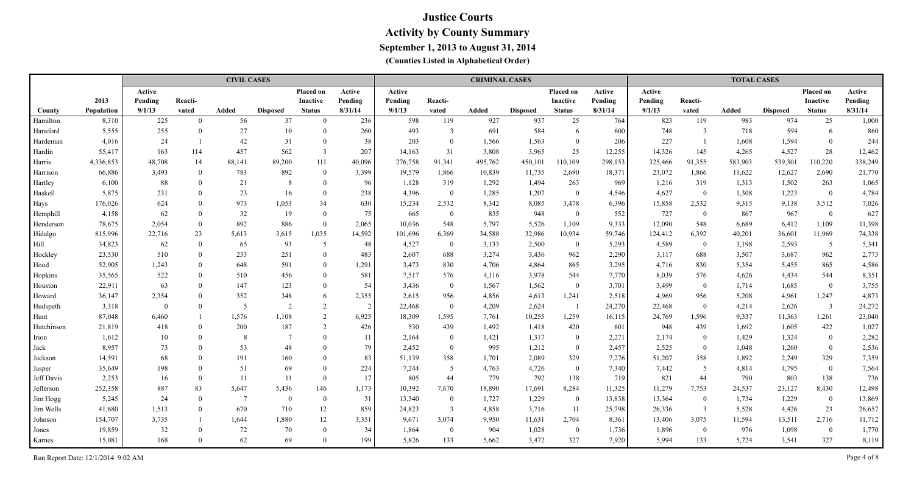|            |                   |          |                | <b>CIVIL CASES</b> |                 |                 |         |         |                | <b>CRIMINAL CASES</b> |                 |                          |         |         |                | <b>TOTAL CASES</b> |                 |                         |         |
|------------|-------------------|----------|----------------|--------------------|-----------------|-----------------|---------|---------|----------------|-----------------------|-----------------|--------------------------|---------|---------|----------------|--------------------|-----------------|-------------------------|---------|
|            |                   | Active   |                |                    |                 | Placed on       | Active  | Active  |                |                       |                 | <b>Placed on</b>         | Active  | Active  |                |                    |                 | Placed on               | Active  |
|            | 2013              | Pending  | Reacti-        |                    |                 | <b>Inactive</b> | Pending | Pending | Reacti-        |                       |                 | Inactive                 | Pending | Pending | Reacti-        |                    |                 | Inactive                | Pending |
| County     | <b>Population</b> | 9/1/13   | vated          | Added              | <b>Disposed</b> | <b>Status</b>   | 8/31/14 | 9/1/13  | vated          | Added                 | <b>Disposed</b> | <b>Status</b>            | 8/31/14 | 9/1/13  | vated          | <b>Added</b>       | <b>Disposed</b> | <b>Status</b>           | 8/31/14 |
| Hamilton   | 8,310             | 225      | $\overline{0}$ | 56                 | 37              | $\theta$        | 236     | 598     | 119            | 927                   | 937             | 25                       | 764     | 823     | 119            | 983                | 974             | 25                      | 1,000   |
| Hansford   | 5,555             | 255      | $\theta$       | 27                 | 10              | $\Omega$        | 260     | 493     | 3              | 691                   | 584             | 6                        | 600     | 748     | $\overline{3}$ | 718                | 594             | 6                       | 860     |
| Hardeman   | 4,016             | 24       |                | 42                 | 31              | $\Omega$        | 38      | 203     | $\overline{0}$ | 1,566                 | 1,563           | $\theta$                 | 206     | 227     | $\overline{1}$ | 1,608              | 1,594           | $\bf{0}$                | 244     |
| Hardin     | 55,417            | 163      | 114            | 457                | 562             | $\overline{3}$  | 207     | 14,163  | 31             | 3,808                 | 3,965           | 25                       | 12,255  | 14,326  | 145            | 4,265              | 4,527           | 28                      | 12,462  |
| Harris     | 4,336,853         | 48,708   | 14             | 88,141             | 89,200          | 111             | 40,096  | 276,758 | 91,341         | 495,762               | 450,101         | 110,109                  | 298,153 | 325,466 | 91,355         | 583,903            | 539,301         | 110,220                 | 338,249 |
| Harrison   | 66,886            | 3,493    | $\theta$       | 783                | 892             | $\theta$        | 3,399   | 19,579  | 1,866          | 10,839                | 11,735          | 2,690                    | 18,371  | 23,072  | 1,866          | 11,622             | 12,627          | 2,690                   | 21,770  |
| Hartley    | 6,100             | 88       | $\Omega$       | 21                 | 8               | $\Omega$        | 96      | 1,128   | 319            | 1,292                 | 1,494           | 263                      | 969     | 1,216   | 319            | 1,313              | 1,502           | 263                     | 1,065   |
| Haskell    | 5,875             | 231      | $\Omega$       | 23                 | 16              | $\Omega$        | 238     | 4,396   | $\mathbf{0}$   | 1,285                 | 1,207           | $\theta$                 | 4,546   | 4,627   | $\overline{0}$ | 1,308              | 1,223           | $\bf{0}$                | 4,784   |
| Hays       | 176,026           | 624      | $\Omega$       | 973                | 1,053           | 34              | 630     | 15,234  | 2,532          | 8,342                 | 8,085           | 3,478                    | 6,396   | 15,858  | 2,532          | 9,315              | 9,138           | 3,512                   | 7,026   |
| Hemphill   | 4,158             | 62       | $\Omega$       | 32                 | 19              | $\Omega$        | 75      | 665     | $\mathbf{0}$   | 835                   | 948             | $\overline{0}$           | 552     | 727     | $\overline{0}$ | 867                | 967             | $\overline{0}$          | 627     |
| Henderson  | 78,675            | 2,054    | $\Omega$       | 892                | 886             | $\Omega$        | 2,065   | 10,036  | 548            | 5,797                 | 5,526           | 1,109                    | 9,333   | 12,090  | 548            | 6,689              | 6,412           | 1,109                   | 11,398  |
| Hidalgo    | 815,996           | 22,716   | 23             | 5,613              | 3,615           | 1,035           | 14,592  | 101,696 | 6,369          | 34,588                | 32,986          | 10,934                   | 59,746  | 124,412 | 6,392          | 40,201             | 36,601          | 11,969                  | 74,338  |
| Hill       | 34,823            | 62       | $\Omega$       | 65                 | 93              | 5               | 48      | 4,527   | $\overline{0}$ | 3,133                 | 2,500           | $\overline{0}$           | 5,293   | 4,589   | $\bf{0}$       | 3,198              | 2,593           | 5                       | 5,341   |
| Hockley    | 23,530            | 510      | $\Omega$       | 233                | 251             | $\Omega$        | 483     | 2,607   | 688            | 3,274                 | 3,436           | 962                      | 2,290   | 3,117   | 688            | 3,507              | 3,687           | 962                     | 2,773   |
| Hood       | 52,905            | 1,243    | $\Omega$       | 648                | 591             | $\theta$        | 1,291   | 3,473   | 830            | 4,706                 | 4,864           | 865                      | 3,295   | 4,716   | 830            | 5,354              | 5,455           | 865                     | 4,586   |
| Hopkins    | 35,565            | 522      | $\Omega$       | 510                | 456             | $\Omega$        | 581     | 7,517   | 576            | 4,116                 | 3,978           | 544                      | 7,770   | 8,039   | 576            | 4,626              | 4,434           | 544                     | 8,351   |
| Houston    | 22,911            | 63       | $\Omega$       | 147                | 123             | $\theta$        | 54      | 3,436   | $\mathbf{0}$   | 1,567                 | 1,562           | $\mathbf{0}$             | 3,701   | 3,499   | $\overline{0}$ | 1,714              | 1,685           | $\bf{0}$                | 3,755   |
| Howard     | 36,147            | 2,354    | $\Omega$       | 352                | 348             | 6               | 2,355   | 2,615   | 956            | 4,856                 | 4,613           | 1,241                    | 2,518   | 4,969   | 956            | 5,208              | 4,961           | 1,247                   | 4,873   |
| Hudspeth   | 3,318             | $\theta$ | $\theta$       | -5                 | $\overline{2}$  | 2               |         | 22,468  | $\overline{0}$ | 4,209                 | 2,624           | $\overline{\phantom{0}}$ | 24,270  | 22,468  | $\overline{0}$ | 4,214              | 2,626           | $\overline{\mathbf{3}}$ | 24,272  |
| Hunt       | 87,048            | 6,460    |                | 1,576              | 1,108           | $\overline{2}$  | 6,925   | 18,309  | 1,595          | 7,761                 | 10,255          | 1,259                    | 16,115  | 24,769  | 1,596          | 9,337              | 11,363          | 1,261                   | 23,040  |
| Hutchinson | 21,819            | 418      | $\theta$       | 200                | 187             | 2               | 426     | 530     | 439            | 1,492                 | 1,418           | 420                      | 601     | 948     | 439            | 1,692              | 1,605           | 422                     | 1,027   |
| Irion      | 1,612             | 10       | $\theta$       | 8                  | $\overline{7}$  | $\Omega$        | 11      | 2,164   | $\overline{0}$ | 1,421                 | 1,317           | $\overline{0}$           | 2,271   | 2,174   | $\overline{0}$ | 1,429              | 1,324           | $\bf{0}$                | 2,282   |
| Jack       | 8,957             | 73       | $\Omega$       | 53                 | 48              | $\theta$        | 79      | 2,452   | $\overline{0}$ | 995                   | 1,212           | $\overline{0}$           | 2,457   | 2,525   | $\overline{0}$ | 1,048              | 1,260           | $\bf{0}$                | 2,536   |
| Jackson    | 14,591            | 68       | $\Omega$       | 191                | 160             | $\theta$        | 83      | 51,139  | 358            | 1,701                 | 2,089           | 329                      | 7,276   | 51,207  | 358            | 1,892              | 2,249           | 329                     | 7,359   |
| Jasper     | 35,649            | 198      | $\Omega$       | 51                 | 69              | $\Omega$        | 224     | 7,244   | 5              | 4,763                 | 4,726           | $\overline{0}$           | 7,340   | 7,442   | $\overline{5}$ | 4,814              | 4,795           | $\overline{0}$          | 7,564   |
| Jeff Davis | 2,253             | 16       | $\Omega$       | 11                 | 11              | $\Omega$        | 17      | 805     | 44             | 779                   | 792             | 138                      | 719     | 821     | 44             | 790                | 803             | 138                     | 736     |
| Jefferson  | 252,358           | 887      | 83             | 5,647              | 5,436           | 146             | 1,173   | 10,392  | 7,670          | 18,890                | 17,691          | 8,284                    | 11,325  | 11,279  | 7,753          | 24,537             | 23,127          | 8,430                   | 12,498  |
| Jim Hogg   | 5,245             | 24       | $\Omega$       | -7                 | $\overline{0}$  | $\theta$        | 31      | 13,340  | $\overline{0}$ | 1,727                 | 1,229           | $\overline{0}$           | 13,838  | 13,364  | $\bf{0}$       | 1,734              | 1,229           | $\bf{0}$                | 13,869  |
| Jim Wells  | 41,680            | 1,513    | $\overline{0}$ | 670                | 710             | 12              | 859     | 24,823  | $\mathfrak{Z}$ | 4,858                 | 3,716           | -11                      | 25,798  | 26,336  | $\overline{3}$ | 5,528              | 4,426           | 23                      | 26,657  |
| Johnson    | 154,707           | 3,735    |                | 1,644              | 1,880           | 12              | 3,351   | 9,671   | 3,074          | 9,950                 | 11,631          | 2,704                    | 8,361   | 13,406  | 3,075          | 11,594             | 13,511          | 2,716                   | 11,712  |
| Jones      | 19,859            | 32       | $\Omega$       | 72                 | 70              | $\Omega$        | 34      | 1,864   | $\theta$       | 904                   | 1,028           | $\overline{0}$           | 1,736   | 1,896   | $\overline{0}$ | 976                | 1,098           | $\overline{0}$          | 1,770   |
| Karnes     | 15,081            | 168      | $\Omega$       | 62                 | 69              | $\Omega$        | 199     | 5,826   | 133            | 5,662                 | 3,472           | 327                      | 7,920   | 5,994   | 133            | 5,724              | 3,541           | 327                     | 8,119   |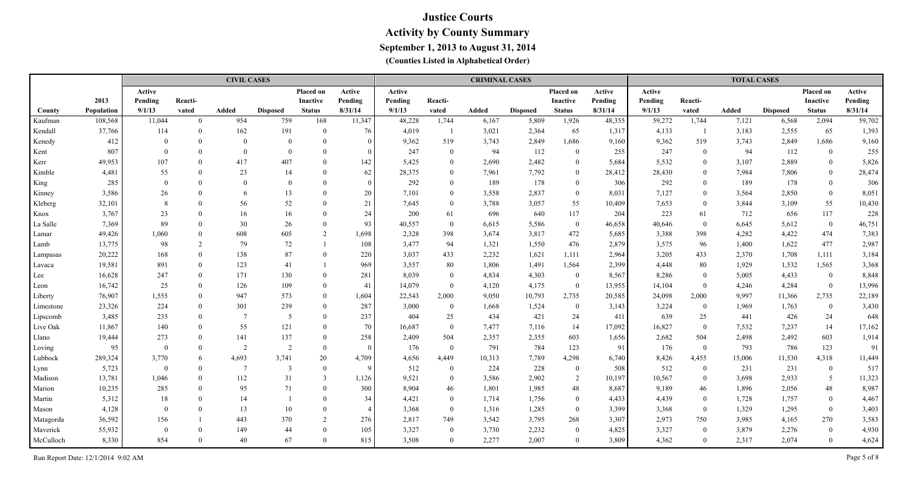|           |            |          |                | <b>CIVIL CASES</b> |                 |                  |                 |         |                | <b>CRIMINAL CASES</b> |                 |                  |         |         |                | <b>TOTAL CASES</b> |                 |                 |         |
|-----------|------------|----------|----------------|--------------------|-----------------|------------------|-----------------|---------|----------------|-----------------------|-----------------|------------------|---------|---------|----------------|--------------------|-----------------|-----------------|---------|
|           |            | Active   |                |                    |                 | <b>Placed on</b> | Active          | Active  |                |                       |                 | Placed on        | Active  | Active  |                |                    |                 | Placed on       | Active  |
|           | 2013       | Pending  | Reacti-        |                    |                 | Inactive         | Pending         | Pending | Reacti-        |                       |                 | <b>Inactive</b>  | Pending | Pending | Reacti-        |                    |                 | <b>Inactive</b> | Pending |
| County    | Population | 9/1/13   | vated          | Added              | <b>Disposed</b> | <b>Status</b>    | 8/31/14         | 9/1/13  | vated          | Added                 | <b>Disposed</b> | <b>Status</b>    | 8/31/14 | 9/1/13  | vated          | Added              | <b>Disposed</b> | <b>Status</b>   | 8/31/14 |
| Kaufman   | 108,568    | 11,044   | $\Omega$       | 954                | 759             | 168              | 11,347          | 48,228  | 1,744          | 6,167                 | 5,809           | 1,926            | 48,355  | 59,272  | 1,744          | 7,121              | 6,568           | 2,094           | 59,702  |
| Kendall   | 37,766     | 114      | $\theta$       | 162                | 191             | $\Omega$         | 76              | 4,019   | -1             | 3,021                 | 2,364           | 65               | 1,317   | 4,133   | -1             | 3,183              | 2,555           | 65              | 1,393   |
| Kenedy    | 412        |          | $\Omega$       | $\Omega$           | $\theta$        | $\theta$         | $\vert 0 \vert$ | 9,362   | 519            | 3,743                 | 2,849           | 1,686            | 9,160   | 9,362   | 519            | 3,743              | 2,849           | 1,686           | 9,160   |
| Kent      | 807        |          |                | $\Omega$           | $\theta$        | $\theta$         | $\Omega$        | 247     | $\overline{0}$ | 94                    | 112             | $\overline{0}$   | 255     | 247     | $\mathbf{0}$   | 94                 | 112             | $\overline{0}$  | 255     |
| Kerr      | 49,953     | 107      |                | 417                | 407             | $\Omega$         | 142             | 5,425   | $\overline{0}$ | 2,690                 | 2,482           | $\overline{0}$   | 5,684   | 5,532   | $\bf{0}$       | 3,107              | 2,889           | $\overline{0}$  | 5,826   |
| Kimble    | 4,481      | 55       |                | 23                 | 14              | $\Omega$         | 62              | 28,375  | $\overline{0}$ | 7,961                 | 7,792           | $\overline{0}$   | 28,412  | 28,430  | $\overline{0}$ | 7,984              | 7,806           | $\overline{0}$  | 28,474  |
| King      | 285        |          | $\Omega$       | $\Omega$           | $\Omega$        | $\Omega$         | $\vert 0 \vert$ | 292     | $\theta$       | 189                   | 178             | $\overline{0}$   | 306     | 292     | $\overline{0}$ | 189                | 178             | $\bf{0}$        | 306     |
| Kinney    | 3,586      | 26       |                | 6                  | 13              | $\Omega$         | 20 <sup>°</sup> | 7,101   | $\overline{0}$ | 3,558                 | 2,837           | $\overline{0}$   | 8,031   | 7,127   | $\overline{0}$ | 3,564              | 2,850           | $\bf{0}$        | 8,051   |
| Kleberg   | 32,101     | 8        |                | 56                 | 52              | $\Omega$         | 21              | 7,645   | $\overline{0}$ | 3,788                 | 3,057           | 55               | 10,409  | 7,653   | $\overline{0}$ | 3,844              | 3,109           | 55              | 10,430  |
| Knox      | 3,767      | 23       |                | 16                 | 16              | $\Omega$         | 24              | 200     | 61             | 696                   | 640             | 117              | 204     | 223     | 61             | 712                | 656             | 117             | 228     |
| La Salle  | 7,369      | 89       |                | 30                 | 26              | $\Omega$         | 93              | 40,557  | $\mathbf{0}$   | 6,615                 | 5,586           | $\mathbf{0}$     | 46,658  | 40,646  | $\overline{0}$ | 6,645              | 5,612           | $\mathbf{0}$    | 46,751  |
| Lamar     | 49,426     | 1,060    |                | 608                | 605             | 2                | 1,698           | 2,328   | 398            | 3,674                 | 3,817           | 472              | 5,685   | 3,388   | 398            | 4,282              | 4,422           | 474             | 7,383   |
| Lamb      | 13,775     | 98       | $\overline{2}$ | 79                 | 72              |                  | 108             | 3,477   | 94             | 1,321                 | 1,550           | 476              | 2,879   | 3,575   | 96             | 1,400              | 1,622           | 477             | 2,987   |
| Lampasas  | 20,222     | 168      | $\Omega$       | 138                | 87              | $\Omega$         | 220             | 3,037   | 433            | 2,232                 | 1,621           | 1,111            | 2,964   | 3,205   | 433            | 2,370              | 1,708           | 1,111           | 3,184   |
| Lavaca    | 19,581     | 891      | $\Omega$       | 123                | 41              |                  | 969             | 3,557   | 80             | 1,806                 | 1,491           | 1,564            | 2,399   | 4,448   | 80             | 1,929              | 1,532           | 1,565           | 3,368   |
| Lee       | 16,628     | 247      | $\Omega$       | 171                | 130             | $\Omega$         | 281             | 8,039   | $\mathbf{0}$   | 4,834                 | 4,303           | $\overline{0}$   | 8,567   | 8,286   | $\theta$       | 5,005              | 4,433           | $\bf{0}$        | 8,848   |
| Leon      | 16,742     | 25       | $\Omega$       | 126                | 109             | $\Omega$         | 41              | 14,079  | $\overline{0}$ | 4,120                 | 4,175           | $\mathbf{0}$     | 13,955  | 14,104  | $\mathbf{0}$   | 4,246              | 4,284           | $\mathbf{0}$    | 13,996  |
| Liberty   | 76,907     | 1,555    | $\Omega$       | 947                | 573             | $\overline{0}$   | 1,604           | 22,543  | 2,000          | 9,050                 | 10,793          | 2,735            | 20,585  | 24,098  | 2,000          | 9,997              | 11,366          | 2,735           | 22,189  |
| Limestone | 23,326     | 224      | $\Omega$       | 301                | 239             | $\Omega$         | 287             | 3,000   | $\mathbf{0}$   | 1,668                 | 1,524           | $\boldsymbol{0}$ | 3,143   | 3,224   | $\overline{0}$ | 1,969              | 1,763           | $\overline{0}$  | 3,430   |
| Lipscomb  | 3,485      | 235      |                | $\overline{7}$     | -5              | $\theta$         | 237             | 404     | 25             | 434                   | 421             | 24               | 411     | 639     | 25             | 441                | 426             | 24              | 648     |
| Live Oak  | 11,867     | 140      |                | 55                 | 121             | $\theta$         | 70              | 16,687  | $\mathbf{0}$   | 7,477                 | 7,116           | 14               | 17,092  | 16,827  | $\overline{0}$ | 7,532              | 7,237           | 14              | 17,162  |
| Llano     | 19,444     | 273      |                | 141                | 137             | $\theta$         | 258             | 2,409   | 504            | 2,357                 | 2,355           | 603              | 1,656   | 2,682   | 504            | 2,498              | 2,492           | 603             | 1,914   |
| Loving    | 95         |          |                | 2                  | $\overline{2}$  | $\Omega$         | $\theta$        | 176     | $\mathbf{0}$   | 791                   | 784             | 123              | 91      | 176     | $\bf{0}$       | 793                | 786             | 123             | 91      |
| Lubbock   | 289,324    | 3,770    | 6              | 4,693              | 3,741           | 20               | 4,709           | 4,656   | 4,449          | 10,313                | 7,789           | 4,298            | 6,740   | 8,426   | 4,455          | 15,006             | 11,530          | 4,318           | 11,449  |
| Lynn      | 5,723      | $\theta$ | $\Omega$       | $\overline{7}$     | 3               | $\theta$         | 9               | 512     | $\mathbf{0}$   | 224                   | 228             | $\overline{0}$   | 508     | 512     | $\bf{0}$       | 231                | 231             | $\bf{0}$        | 517     |
| Madison   | 13,781     | 1,046    | $\Omega$       | 112                | 31              | $\overline{3}$   | 1,126           | 9,521   | $\mathbf{0}$   | 3,586                 | 2,902           | 2                | 10,197  | 10,567  | $\overline{0}$ | 3,698              | 2,933           | 5               | 11,323  |
| Marion    | 10,235     | 285      |                | 95                 | 71              | $\theta$         | 300             | 8,904   | 46             | 1,801                 | 1,985           | 48               | 8,687   | 9,189   | 46             | 1,896              | 2,056           | 48              | 8,987   |
| Martin    | 5,312      | 18       | $\Omega$       | 14                 |                 | $\theta$         | 34              | 4,421   | $\mathbf{0}$   | 1,714                 | 1,756           | $\overline{0}$   | 4,433   | 4,439   | $\overline{0}$ | 1,728              | 1,757           | $\bf{0}$        | 4,467   |
| Mason     | 4,128      |          |                | 13                 | 10              | $\theta$         |                 | 3,368   | $\overline{0}$ | 1,316                 | 1,285           | $\overline{0}$   | 3,399   | 3,368   | $\bf{0}$       | 1,329              | 1,295           | $\overline{0}$  | 3,403   |
| Matagorda | 36,592     | 156      |                | 443                | 370             | 2                | 276             | 2,817   | 749            | 3,542                 | 3,795           | 268              | 3,307   | 2,973   | 750            | 3,985              | 4,165           | 270             | 3,583   |
| Maverick  | 55,932     | $\theta$ |                | 149                | 44              | $\Omega$         | 105             | 3,327   | $\mathbf{0}$   | 3,730                 | 2,232           | $\overline{0}$   | 4,825   | 3,327   | $\bf{0}$       | 3,879              | 2,276           | $\bf{0}$        | 4,930   |
| McCulloch | 8,330      | 854      |                | 40                 | 67              | $\Omega$         | 815             | 3,508   | $\theta$       | 2,277                 | 2,007           | $\theta$         | 3,809   | 4,362   | $\theta$       | 2,317              | 2,074           | $\overline{0}$  | 4,624   |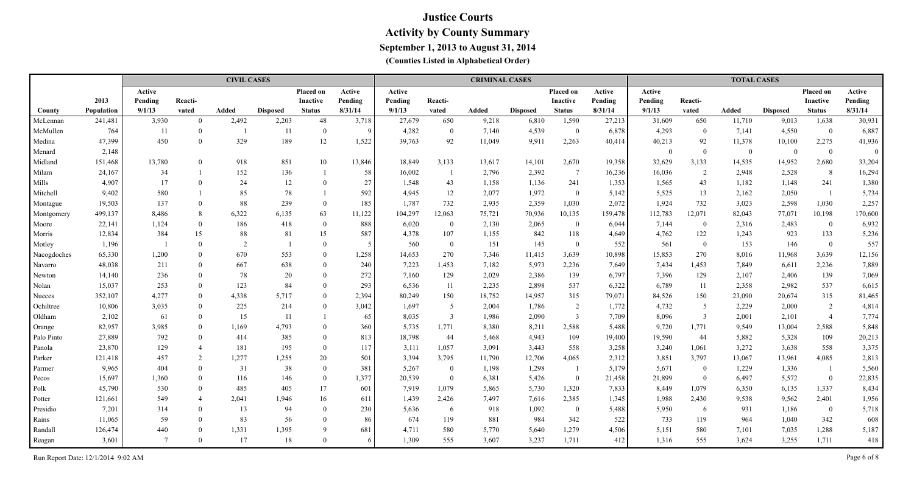|             |            |                |                | <b>CIVIL CASES</b> |                 |                 |         |         |                | <b>CRIMINAL CASES</b> |                 |                 |         |          |                | <b>TOTAL CASES</b> |                 |                |          |
|-------------|------------|----------------|----------------|--------------------|-----------------|-----------------|---------|---------|----------------|-----------------------|-----------------|-----------------|---------|----------|----------------|--------------------|-----------------|----------------|----------|
|             |            | Active         |                |                    |                 | Placed on       | Active  | Active  |                |                       |                 | Placed on       | Active  | Active   |                |                    |                 | Placed on      | Active   |
|             | 2013       | Pending        | Reacti-        |                    |                 | <b>Inactive</b> | Pending | Pending | Reacti-        |                       |                 | <b>Inactive</b> | Pending | Pending  | Reacti-        |                    |                 | Inactive       | Pending  |
| County      | Population | 9/1/13         | vated          | <b>Added</b>       | <b>Disposed</b> | <b>Status</b>   | 8/31/14 | 9/1/13  | vated          | Added                 | <b>Disposed</b> | <b>Status</b>   | 8/31/14 | 9/1/13   | vated          | <b>Added</b>       | <b>Disposed</b> | <b>Status</b>  | 8/31/14  |
| McLennan    | 241,481    | 3,930          | $\overline{0}$ | 2,492              | 2,203           | 48              | 3,718   | 27,679  | 650            | 9,218                 | 6,810           | 1,590           | 27,213  | 31,609   | 650            | 11,710             | 9,013           | 1,638          | 30,931   |
| McMullen    | 764        | -11            | $\theta$       |                    | 11              | $\theta$        | 9       | 4,282   | $\bf{0}$       | 7,140                 | 4,539           | $\overline{0}$  | 6,878   | 4,293    | $\overline{0}$ | 7,141              | 4,550           | $\bf{0}$       | 6,887    |
| Medina      | 47,399     | 450            | $\overline{0}$ | 329                | 189             | 12              | 1,522   | 39,763  | 92             | 11,049                | 9,911           | 2,263           | 40,414  | 40,213   | 92             | 11,378             | 10,100          | 2,275          | 41,936   |
| Menard      | 2,148      |                |                |                    |                 |                 |         |         |                |                       |                 |                 |         | $\theta$ | $\overline{0}$ | $\bf{0}$           | $\mathbf{0}$    | $\bf{0}$       | $\theta$ |
| Midland     | 151,468    | 13,780         | $\theta$       | 918                | 851             | 10              | 13,846  | 18,849  | 3,133          | 13,617                | 14,101          | 2,670           | 19,358  | 32,629   | 3,133          | 14,535             | 14,952          | 2,680          | 33,204   |
| Milam       | 24,167     | 34             |                | 152                | 136             |                 | 58      | 16,002  | -1             | 2,796                 | 2,392           | $\overline{7}$  | 16,236  | 16,036   | $\overline{2}$ | 2,948              | 2,528           | 8              | 16,294   |
| Mills       | 4,907      | 17             | $\Omega$       | 24                 | 12              | $\theta$        | $27\,$  | 1,548   | 43             | 1,158                 | 1,136           | 241             | 1,353   | 1,565    | 43             | 1,182              | 1,148           | 241            | 1,380    |
| Mitchell    | 9,402      | 580            |                | 85                 | 78              |                 | 592     | 4,945   | 12             | 2,077                 | 1,972           | $\mathbf{0}$    | 5,142   | 5,525    | 13             | 2,162              | 2,050           |                | 5,734    |
| Montague    | 19,503     | 137            | $\theta$       | 88                 | 239             | $\theta$        | 185     | 1,787   | 732            | 2,935                 | 2,359           | 1,030           | 2,072   | 1,924    | 732            | 3,023              | 2,598           | 1,030          | 2,257    |
| Montgomery  | 499,137    | 8,486          | 8              | 6,322              | 6,135           | 63              | 11,122  | 104,297 | 12,063         | 75,721                | 70,936          | 10,135          | 159,478 | 112,783  | 12,071         | 82,043             | 77,071          | 10,198         | 170,600  |
| Moore       | 22,141     | 1,124          | $\overline{0}$ | 186                | 418             | $\bf{0}$        | 888     | 6,020   | $\mathbf{0}$   | 2,130                 | 2,065           | $\bf{0}$        | 6,044   | 7,144    | $\overline{0}$ | 2,316              | 2,483           | $\overline{0}$ | 6,932    |
| Morris      | 12,834     | 384            | 15             | 88                 | 81              | 15              | 587     | 4,378   | 107            | 1,155                 | 842             | 118             | 4,649   | 4,762    | 122            | 1,243              | 923             | 133            | 5,236    |
| Motley      | 1,196      |                | $\Omega$       | $\overline{2}$     |                 | $\overline{0}$  |         | 560     | $\mathbf{0}$   | 151                   | 145             | $\mathbf{0}$    | 552     | 561      | $\overline{0}$ | 153                | 146             | $\mathbf{0}$   | 557      |
| Nacogdoches | 65,330     | 1,200          | $\Omega$       | 670                | 553             | $\Omega$        | 1,258   | 14,653  | 270            | 7,346                 | 11,415          | 3,639           | 10,898  | 15,853   | 270            | 8,016              | 11,968          | 3,639          | 12,156   |
| Navarro     | 48,038     | 211            | $\Omega$       | 667                | 638             | $\theta$        | 240     | 7,223   | 1,453          | 7,182                 | 5,973           | 2,236           | 7,649   | 7,434    | 1,453          | 7,849              | 6,611           | 2,236          | 7,889    |
| Newton      | 14,140     | 236            | $\Omega$       | 78                 | 20              | $\overline{0}$  | 272     | 7,160   | 129            | 2,029                 | 2,386           | 139             | 6,797   | 7,396    | 129            | 2,107              | 2,406           | 139            | 7,069    |
| Nolan       | 15,037     | 253            | $\Omega$       | 123                | 84              | $\Omega$        | 293     | 6,536   | 11             | 2,235                 | 2,898           | 537             | 6,322   | 6,789    | 11             | 2,358              | 2,982           | 537            | 6,615    |
| Nueces      | 352,107    | 4,277          | $\Omega$       | 4,338              | 5,717           | $\Omega$        | 2,394   | 80,249  | 150            | 18,752                | 14,957          | 315             | 79,071  | 84,526   | 150            | 23,090             | 20,674          | 315            | 81,465   |
| Ochiltree   | 10,806     | 3,035          | $\Omega$       | 225                | 214             | $\Omega$        | 3,042   | 1,697   | 5              | 2,004                 | 1,786           | $\overline{2}$  | 1,772   | 4,732    | -5             | 2,229              | 2,000           | 2              | 4,814    |
| Oldham      | 2,102      | 61             | $\theta$       | 15                 | 11              |                 | 65      | 8,035   | $\mathfrak{Z}$ | 1,986                 | 2,090           | $\mathfrak{Z}$  | 7,709   | 8,096    | $\overline{3}$ | 2,001              | 2,101           | $\overline{4}$ | 7,774    |
| Orange      | 82,957     | 3,985          | $\theta$       | 1,169              | 4,793           | $\theta$        | 360     | 5,735   | 1,771          | 8,380                 | 8,211           | 2,588           | 5,488   | 9,720    | 1,771          | 9,549              | 13,004          | 2,588          | 5,848    |
| Palo Pinto  | 27,889     | 792            | $\Omega$       | 414                | 385             | $\bf{0}$        | 813     | 18,798  | 44             | 5,468                 | 4,943           | 109             | 19,400  | 19,590   | 44             | 5,882              | 5,328           | 109            | 20,213   |
| Panola      | 23,870     | 129            | $\overline{4}$ | 181                | 195             | $\overline{0}$  | 117     | 3,111   | 1,057          | 3,091                 | 3,443           | 558             | 3,258   | 3,240    | 1,061          | 3,272              | 3,638           | 558            | 3,375    |
| Parker      | 121,418    | 457            | 2              | 1,277              | 1,255           | 20              | 501     | 3,394   | 3,795          | 11,790                | 12,706          | 4,065           | 2,312   | 3,851    | 3,797          | 13,067             | 13,961          | 4,085          | 2,813    |
| Parmer      | 9,965      | 404            | $\Omega$       | 31                 | 38              | $\overline{0}$  | 381     | 5,267   | $\overline{0}$ | 1,198                 | 1,298           |                 | 5,179   | 5,671    | $\overline{0}$ | 1,229              | 1,336           | -1             | 5,560    |
| Pecos       | 15,697     | 1,360          | $\overline{0}$ | 116                | 146             | $\bf{0}$        | 1,377   | 20,539  | $\bf{0}$       | 6,381                 | 5,426           | $\overline{0}$  | 21,458  | 21,899   | $\bf{0}$       | 6,497              | 5,572           | $\bf{0}$       | 22,835   |
| Polk        | 45,790     | 530            | $\theta$       | 485                | 405             | 17              | 601     | 7,919   | 1,079          | 5,865                 | 5,730           | 1,320           | 7,833   | 8,449    | 1,079          | 6,350              | 6,135           | 1,337          | 8,434    |
| Potter      | 121,661    | 549            | $\overline{4}$ | 2,041              | 1,946           | 16              | 611     | 1,439   | 2,426          | 7,497                 | 7,616           | 2,385           | 1,345   | 1,988    | 2,430          | 9,538              | 9,562           | 2,401          | 1,956    |
| Presidio    | 7,201      | 314            | $\Omega$       | 13                 | 94              | $\Omega$        | 230     | 5,636   | 6              | 918                   | 1,092           | $\overline{0}$  | 5,488   | 5,950    | -6             | 931                | 1,186           | $\mathbf{0}$   | 5,718    |
| Rains       | 11,065     | 59             | $\Omega$       | 83                 | 56              | $\Omega$        | 86      | 674     | 119            | 881                   | 984             | 342             | 522     | 733      | 119            | 964                | 1,040           | 342            | 608      |
| Randall     | 126,474    | 440            | $\Omega$       | 1,331              | 1,395           | 9               | 681     | 4,711   | 580            | 5,770                 | 5,640           | 1,279           | 4,506   | 5,151    | 580            | 7,101              | 7,035           | 1,288          | 5,187    |
| Reagan      | 3,601      | $\overline{7}$ | $\Omega$       | 17                 | 18              | $\Omega$        |         | 1,309   | 555            | 3,607                 | 3,237           | 1,711           | 412     | 1,316    | 555            | 3,624              | 3,255           | 1,711          | 418      |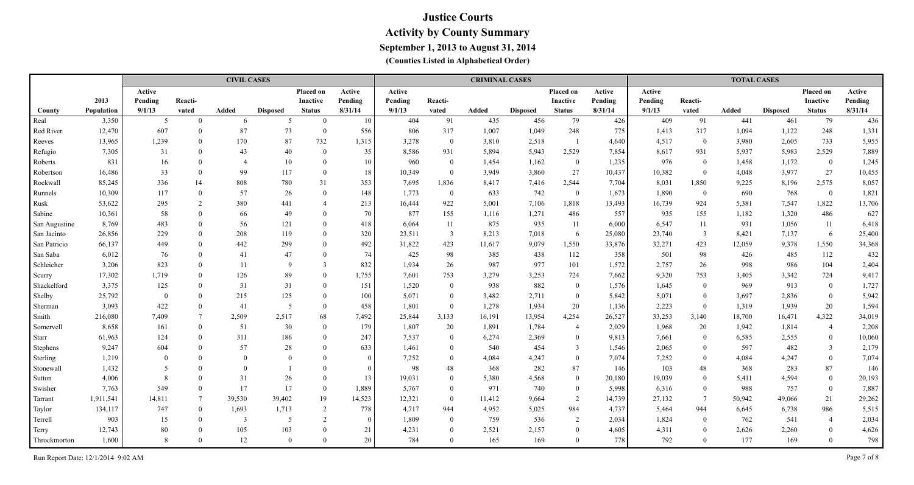|               |            |          |                 | <b>CIVIL CASES</b> |                 |                |                 |         |                | <b>CRIMINAL CASES</b> |                 |                          |         |         |                 | <b>TOTAL CASES</b> |                 |                |         |
|---------------|------------|----------|-----------------|--------------------|-----------------|----------------|-----------------|---------|----------------|-----------------------|-----------------|--------------------------|---------|---------|-----------------|--------------------|-----------------|----------------|---------|
|               |            | Active   |                 |                    |                 | Placed on      | Active          | Active  |                |                       |                 | Placed on                | Active  | Active  |                 |                    |                 | Placed on      | Active  |
|               | 2013       | Pending  | Reacti-         |                    |                 | Inactive       | Pending         | Pending | Reacti-        |                       |                 | Inactive                 | Pending | Pending | Reacti-         |                    |                 | Inactive       | Pending |
| County        | Population | 9/1/13   | vated           | Added              | <b>Disposed</b> | <b>Status</b>  | 8/31/14         | 9/1/13  | vated          | Added                 | <b>Disposed</b> | <b>Status</b>            | 8/31/14 | 9/1/13  | vated           | Added              | <b>Disposed</b> | <b>Status</b>  | 8/31/14 |
| Real          | 3,350      | 5        | $\Omega$        | 6                  | -5              | $\theta$       | 10 <sup>°</sup> | 404     | 91             | 435                   | 456             | 79                       | 426     | 409     | 91              | 441                | 461             | 79             | 436     |
| Red River     | 12,470     | 607      | $\Omega$        | 87                 | 73              | $\theta$       | 556             | 806     | 317            | 1,007                 | 1,049           | 248                      | 775     | 1,413   | 317             | 1,094              | 1,122           | 248            | 1,331   |
| Reeves        | 13,965     | 1,239    | $\theta$        | 170                | 87              | 732            | 1,315           | 3,278   | $\overline{0}$ | 3,810                 | 2,518           | $\overline{\phantom{0}}$ | 4,640   | 4,517   | $\bf{0}$        | 3,980              | 2,605           | 733            | 5,955   |
| Refugio       | 7,305      | 31       | $\theta$        | 43                 | 40              | $\theta$       | 35              | 8,586   | 931            | 5,894                 | 5,943           | 2,529                    | 7,854   | 8,617   | 931             | 5,937              | 5,983           | 2,529          | 7,889   |
| Roberts       | 831        | 16       | $\Omega$        |                    | 10              | $\theta$       | 10 <sup>°</sup> | 960     | $\overline{0}$ | 1,454                 | 1,162           | $\overline{0}$           | 1,235   | 976     | $\bf{0}$        | 1,458              | 1,172           | $\overline{0}$ | 1,245   |
| Robertson     | 16,486     | 33       | $\Omega$        | 99                 | 117             | $\theta$       | 18              | 10,349  | $\overline{0}$ | 3,949                 | 3,860           | 27                       | 10,437  | 10,382  | $\overline{0}$  | 4,048              | 3,977           | 27             | 10,455  |
| Rockwall      | 85,245     | 336      | 14              | 808                | 780             | 31             | 353             | 7,695   | 1,836          | 8,417                 | 7,416           | 2,544                    | 7,704   | 8,031   | 1,850           | 9,225              | 8,196           | 2,575          | 8,057   |
| Runnels       | 10,309     | 117      | $\Omega$        | 57                 | 26              | $\Omega$       | 148             | 1,773   | $\mathbf{0}$   | 633                   | 742             | $\overline{0}$           | 1,673   | 1,890   | $\overline{0}$  | 690                | 768             | $\bf{0}$       | 1,821   |
| Rusk          | 53,622     | 295      | $\overline{2}$  | 380                | 441             | $\overline{4}$ | 213             | 16,444  | 922            | 5,001                 | 7,106           | 1,818                    | 13,493  | 16,739  | 924             | 5,381              | 7,547           | 1,822          | 13,706  |
| Sabine        | 10,361     | 58       |                 | 66                 | 49              | $\Omega$       | 70              | 877     | 155            | 1,116                 | 1,271           | 486                      | 557     | 935     | 155             | 1,182              | 1,320           | 486            | 627     |
| San Augustine | 8,769      | 483      |                 | 56                 | 121             | $\Omega$       | 418             | 6,064   | 11             | 875                   | 935             | 11                       | 6,000   | 6,547   | 11              | 931                | 1,056           | 11             | 6,418   |
| San Jacinto   | 26,856     | 229      | $\Omega$        | 208                | 119             | $\Omega$       | 320             | 23,511  | $\overline{3}$ | 8,213                 | 7,018           | 6                        | 25,080  | 23,740  | $\overline{3}$  | 8,421              | 7,137           | 6              | 25,400  |
| San Patricio  | 66,137     | 449      | $\Omega$        | 442                | 299             | $\Omega$       | 492             | 31,822  | 423            | 11,617                | 9,079           | 1,550                    | 33,876  | 32,271  | 423             | 12,059             | 9,378           | 1,550          | 34,368  |
| San Saba      | 6,012      | 76       |                 | 41                 | 47              | $\Omega$       | 74              | 425     | 98             | 385                   | 438             | 112                      | 358     | 501     | 98              | 426                | 485             | 112            | 432     |
| Schleicher    | 3,206      | 823      |                 | 11                 | $\mathbf{Q}$    | $\mathcal{E}$  | 832             | 1,934   | 26             | 987                   | 977             | 101                      | 1,572   | 2,757   | 26              | 998                | 986             | 104            | 2,404   |
| Scurry        | 17,302     | 1,719    | $\Omega$        | 126                | 89              | $\Omega$       | 1,755           | 7,601   | 753            | 3,279                 | 3,253           | 724                      | 7,662   | 9,320   | 753             | 3,405              | 3,342           | 724            | 9,417   |
| Shackelford   | 3,375      | 125      | $\Omega$        | 31                 | 31              | $\Omega$       | 151             | 1,520   | $\overline{0}$ | 938                   | 882             | $\overline{0}$           | 1,576   | 1,645   | $\overline{0}$  | 969                | 913             | $\overline{0}$ | 1,727   |
| Shelby        | 25,792     | $\theta$ | $\Omega$        | 215                | 125             | $\theta$       | 100             | 5,071   | $\overline{0}$ | 3,482                 | 2,711           | $\overline{0}$           | 5,842   | 5,071   | $\overline{0}$  | 3,697              | 2,836           | $\bf{0}$       | 5,942   |
| Sherman       | 3,093      | 422      | $\Omega$        | 41                 | -5              | $\theta$       | 458             | 1,801   | $\overline{0}$ | 1,278                 | 1,934           | 20                       | 1,136   | 2,223   | $\overline{0}$  | 1,319              | 1,939           | 20             | 1,594   |
| Smith         | 216,080    | 7,409    | $\tau$          | 2,509              | 2,517           | 68             | 7,492           | 25,844  | 3,133          | 16,191                | 13,954          | 4,254                    | 26,527  | 33,253  | 3,140           | 18,700             | 16,471          | 4,322          | 34,019  |
| Somervell     | 8,658      | 161      | $\Omega$        | 51                 | 30              | $\theta$       | 179             | 1,807   | 20             | 1,891                 | 1,784           | $\overline{4}$           | 2,029   | 1,968   | 20              | 1,942              | 1,814           | $\overline{4}$ | 2,208   |
| <b>Starr</b>  | 61,963     | 124      |                 | 311                | 186             | $\Omega$       | 247             | 7,537   | $\mathbf{0}$   | 6,274                 | 2,369           | $\mathbf{0}$             | 9,813   | 7,661   | $\overline{0}$  | 6,585              | 2,555           | $\overline{0}$ | 10,060  |
| Stephens      | 9,247      | 604      |                 | 57                 | 28              | $\Omega$       | 633             | 1,461   | $\theta$       | 540                   | 454             | $\mathbf{3}$             | 1,546   | 2,065   | $\theta$        | 597                | 482             | $\overline{3}$ | 2,179   |
| Sterling      | 1,219      |          |                 | $\theta$           | $\Omega$        | $\Omega$       | $\vert 0 \vert$ | 7,252   | $\overline{0}$ | 4,084                 | 4,247           | $\overline{0}$           | 7,074   | 7,252   | $\theta$        | 4,084              | 4,247           | $\overline{0}$ | 7,074   |
| Stonewall     | 1,432      | 5        |                 | $\Omega$           |                 | $\Omega$       | $\Omega$        | 98      | 48             | 368                   | 282             | 87                       | 146     | 103     | 48              | 368                | 283             | 87             | 146     |
| Sutton        | 4,006      | 8        | $\Omega$        | 31                 | 26              | $\theta$       | 13              | 19,031  | $\mathbf{0}$   | 5,380                 | 4,568           | $\overline{0}$           | 20,180  | 19,039  | $\theta$        | 5,411              | 4,594           | $\overline{0}$ | 20,193  |
| Swisher       | 7,763      | 549      | $\Omega$        | 17                 | 17              | $\theta$       | 1,889           | 5,767   | $\overline{0}$ | 971                   | 740             | $\overline{0}$           | 5,998   | 6,316   | $\overline{0}$  | 988                | 757             | $\bf{0}$       | 7,887   |
| Tarrant       | 1,911,541  | 14,811   | $7\phantom{.0}$ | 39,530             | 39,402          | 19             | 14,523          | 12,321  | $\overline{0}$ | 11,412                | 9,664           | $\overline{2}$           | 14,739  | 27,132  | $7\overline{ }$ | 50,942             | 49,066          | 21             | 29,262  |
| Taylor        | 134,117    | 747      | $\theta$        | 1,693              | 1,713           | 2              | 778             | 4,717   | 944            | 4,952                 | 5,025           | 984                      | 4,737   | 5,464   | 944             | 6,645              | 6,738           | 986            | 5,515   |
| Terrell       | 903        | 15       | $\Omega$        | 3                  | -5              | 2              | $\vert 0 \vert$ | 1,809   | $\mathbf{0}$   | 759                   | 536             | 2                        | 2,034   | 1,824   | $\overline{0}$  | 762                | 541             | $\overline{4}$ | 2,034   |
| Terry         | 12,743     | 80       |                 | 105                | 103             | $\Omega$       | 21              | 4,231   | $\overline{0}$ | 2,521                 | 2,157           | $\overline{0}$           | 4,605   | 4,311   | $\theta$        | 2,626              | 2,260           | $\bf{0}$       | 4,626   |
| Throckmorton  | 1,600      | 8        |                 | 12                 | $\Omega$        | $\Omega$       | 20              | 784     | $\Omega$       | 165                   | 169             | $\overline{0}$           | 778     | 792     | $\theta$        | 177                | 169             | $\overline{0}$ | 798     |